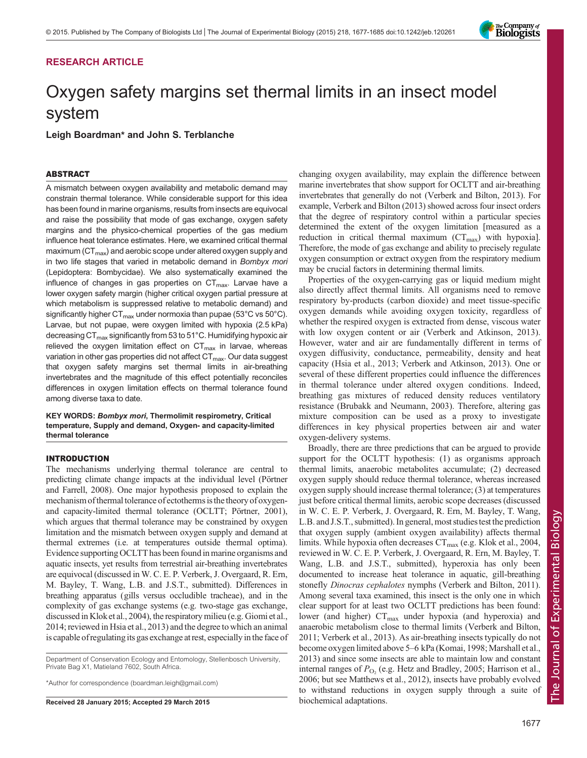# RESEARCH ARTICLE

# Oxygen safety margins set thermal limits in an insect model system

Leigh Boardman\* and John S. Terblanche

## ABSTRACT

A mismatch between oxygen availability and metabolic demand may constrain thermal tolerance. While considerable support for this idea has been found in marine organisms, results from insects are equivocal and raise the possibility that mode of gas exchange, oxygen safety margins and the physico-chemical properties of the gas medium influence heat tolerance estimates. Here, we examined critical thermal maximum ( $CT<sub>max</sub>$ ) and aerobic scope under altered oxygen supply and in two life stages that varied in metabolic demand in Bombyx mori (Lepidoptera: Bombycidae). We also systematically examined the influence of changes in gas properties on  $CT_{\text{max}}$ . Larvae have a lower oxygen safety margin (higher critical oxygen partial pressure at which metabolism is suppressed relative to metabolic demand) and significantly higher CT<sub>max</sub> under normoxia than pupae (53°C vs 50°C). Larvae, but not pupae, were oxygen limited with hypoxia (2.5 kPa) decreasing  $CT_{max}$  significantly from 53 to 51°C. Humidifying hypoxic air relieved the oxygen limitation effect on  $CT_{max}$  in larvae, whereas variation in other gas properties did not affect CT<sub>max</sub>. Our data suggest that oxygen safety margins set thermal limits in air-breathing invertebrates and the magnitude of this effect potentially reconciles differences in oxygen limitation effects on thermal tolerance found among diverse taxa to date.

KEY WORDS: Bombyx mori, Thermolimit respirometry, Critical temperature, Supply and demand, Oxygen- and capacity-limited thermal tolerance

# **INTRODUCTION**

The mechanisms underlying thermal tolerance are central to predicting climate change impacts at the individual level ([Pörtner](#page-8-0) [and Farrell, 2008](#page-8-0)). One major hypothesis proposed to explain the mechanism of thermal tolerance of ectotherms isthe theory of oxygenand capacity-limited thermal tolerance (OCLTT; [Pörtner, 2001\)](#page-8-0), which argues that thermal tolerance may be constrained by oxygen limitation and the mismatch between oxygen supply and demand at thermal extremes (i.e. at temperatures outside thermal optima). Evidence supporting OCLTT has been foundin marine organisms and aquatic insects, yet results from terrestrial air-breathing invertebrates are equivocal (discussed in W. C. E. P. Verberk, J. Overgaard, R. Ern, M. Bayley, T. Wang, L.B. and J.S.T., submitted). Differences in breathing apparatus (gills versus occludible tracheae), and in the complexity of gas exchange systems (e.g. two-stage gas exchange, discussed in [Klok et al., 2004\)](#page-7-0), the respiratory milieu (e.g. [Giomi et al.,](#page-7-0) [2014;](#page-7-0) reviewed in [Hsia et al., 2013\)](#page-7-0) and the degree to which an animal is capable of regulating its gas exchange at rest, especially in the face of

Department of Conservation Ecology and Entomology, Stellenbosch University, Private Bag X1, Matieland 7602, South Africa.

\*Author for correspondence (boardman.leigh@gmail.com)

Received 28 January 2015; Accepted 29 March 2015 biochemical adaptations.

changing oxygen availability, may explain the difference between marine invertebrates that show support for OCLTT and air-breathing invertebrates that generally do not [\(Verberk and Bilton, 2013\)](#page-8-0). For example, [Verberk and Bilton \(2013\)](#page-8-0) showed across four insect orders that the degree of respiratory control within a particular species determined the extent of the oxygen limitation [measured as a reduction in critical thermal maximum  $(CT_{max})$  with hypoxia]. Therefore, the mode of gas exchange and ability to precisely regulate oxygen consumption or extract oxygen from the respiratory medium may be crucial factors in determining thermal limits.

Properties of the oxygen-carrying gas or liquid medium might also directly affect thermal limits. All organisms need to remove respiratory by-products (carbon dioxide) and meet tissue-specific oxygen demands while avoiding oxygen toxicity, regardless of whether the respired oxygen is extracted from dense, viscous water with low oxygen content or air [\(Verberk and Atkinson, 2013\)](#page-8-0). However, water and air are fundamentally different in terms of oxygen diffusivity, conductance, permeability, density and heat capacity [\(Hsia et al., 2013](#page-7-0); [Verberk and Atkinson, 2013\)](#page-8-0). One or several of these different properties could influence the differences in thermal tolerance under altered oxygen conditions. Indeed, breathing gas mixtures of reduced density reduces ventilatory resistance ([Brubakk and Neumann, 2003\)](#page-7-0). Therefore, altering gas mixture composition can be used as a proxy to investigate differences in key physical properties between air and water oxygen-delivery systems.

Broadly, there are three predictions that can be argued to provide support for the OCLTT hypothesis: (1) as organisms approach thermal limits, anaerobic metabolites accumulate; (2) decreased oxygen supply should reduce thermal tolerance, whereas increased oxygen supply should increase thermal tolerance; (3) at temperatures just before critical thermal limits, aerobic scope decreases (discussed in W. C. E. P. Verberk, J. Overgaard, R. Ern, M. Bayley, T. Wang, L.B. and J.S.T., submitted). In general, most studies test the prediction that oxygen supply (ambient oxygen availability) affects thermal limits. While hypoxia often decreases  $CT_{\text{max}}$  (e.g. [Klok et al., 2004,](#page-7-0) reviewed in W. C. E. P. Verberk, J. Overgaard, R. Ern, M. Bayley, T. Wang, L.B. and J.S.T., submitted), hyperoxia has only been documented to increase heat tolerance in aquatic, gill-breathing stonefly Dinocras cephalotes nymphs [\(Verberk and Bilton, 2011\)](#page-8-0). Among several taxa examined, this insect is the only one in which clear support for at least two OCLTT predictions has been found: lower (and higher)  $CT_{\text{max}}$  under hypoxia (and hyperoxia) and anaerobic metabolism close to thermal limits [\(Verberk and Bilton,](#page-8-0) [2011; Verberk et al., 2013\)](#page-8-0). As air-breathing insects typically do not become oxygen limited above 5–6 kPa ([Komai, 1998;](#page-7-0) [Marshall et al.,](#page-8-0) [2013\)](#page-8-0) and since some insects are able to maintain low and constant internal ranges of  $P_{\text{O}_2}$  (e.g. [Hetz and Bradley, 2005](#page-7-0); [Harrison et al.,](#page-7-0) [2006;](#page-7-0) but see [Matthews et al., 2012\)](#page-8-0), insects have probably evolved to withstand reductions in oxygen supply through a suite of

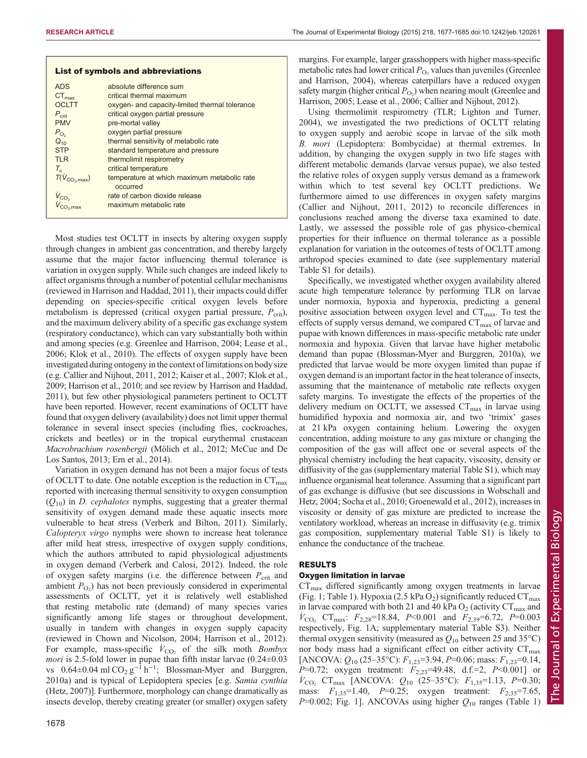|                             | <b>List of symbols and abbreviations</b>                |
|-----------------------------|---------------------------------------------------------|
| <b>ADS</b>                  | absolute difference sum                                 |
| $CT_{\text{max}}$           | critical thermal maximum                                |
| <b>OCLTT</b>                | oxygen- and capacity-limited thermal tolerance          |
| $P_{\text{crit}}$           | critical oxygen partial pressure                        |
| <b>PMV</b>                  | pre-mortal valley                                       |
| $P_{\text{O}_2}$            | oxygen partial pressure                                 |
| $Q_{10}$                    | thermal sensitivity of metabolic rate                   |
| <b>STP</b>                  | standard temperature and pressure                       |
| TI <sub>R</sub>             | thermolimit respirometry                                |
| $T_c$                       | critical temperature                                    |
| $\overline{T(V_{CO2,max})}$ | temperature at which maximum metabolic rate<br>occurred |
| $V_{CO2}$                   | rate of carbon dioxide release                          |
|                             | maximum metabolic rate                                  |

Most studies test OCLTT in insects by altering oxygen supply through changes in ambient gas concentration, and thereby largely assume that the major factor influencing thermal tolerance is variation in oxygen supply. While such changes are indeed likely to affect organisms through a number of potential cellular mechanisms (reviewed in [Harrison and Haddad, 2011](#page-7-0)), their impacts could differ depending on species-specific critical oxygen levels before metabolism is depressed (critical oxygen partial pressure,  $P_{\rm crit}$ ), and the maximum delivery ability of a specific gas exchange system (respiratory conductance), which can vary substantially both within and among species (e.g. [Greenlee and Harrison, 2004; Lease et al.,](#page-7-0) [2006](#page-7-0); [Klok et al., 2010\)](#page-7-0). The effects of oxygen supply have been investigated during ontogeny in the context of limitations on body size (e.g. [Callier and Nijhout, 2011](#page-7-0), [2012](#page-7-0); [Kaiser et al., 2007; Klok et al.,](#page-7-0) [2009; Harrison et al., 2010](#page-7-0); and see review by [Harrison and Haddad,](#page-7-0) [2011\)](#page-7-0), but few other physiological parameters pertinent to OCLTT have been reported. However, recent examinations of OCLTT have found that oxygen delivery (availability) does not limit upper thermal tolerance in several insect species (including flies, cockroaches, crickets and beetles) or in the tropical eurythermal crustacean Macrobrachium rosenbergii ([Mölich et al., 2012; McCue and De](#page-8-0) [Los Santos, 2013](#page-8-0); [Ern et al., 2014](#page-7-0)).

Variation in oxygen demand has not been a major focus of tests of OCLTT to date. One notable exception is the reduction in  $CT_{\text{max}}$ reported with increasing thermal sensitivity to oxygen consumption  $(Q_{10})$  in *D. cephalotes* nymphs, suggesting that a greater thermal sensitivity of oxygen demand made these aquatic insects more vulnerable to heat stress ([Verberk and Bilton, 2011](#page-8-0)). Similarly, Calopteryx virgo nymphs were shown to increase heat tolerance after mild heat stress, irrespective of oxygen supply conditions, which the authors attributed to rapid physiological adjustments in oxygen demand ([Verberk and Calosi, 2012](#page-8-0)). Indeed, the role of oxygen safety margins (i.e. the difference between  $P_{\rm crit}$  and ambient  $P_{\text{O}_2}$ ) has not been previously considered in experimental assessments of OCLTT, yet it is relatively well established that resting metabolic rate (demand) of many species varies significantly among life stages or throughout development, usually in tandem with changes in oxygen supply capacity (reviewed in [Chown and Nicolson, 2004](#page-7-0); [Harrison et al., 2012\)](#page-7-0). For example, mass-specific  $\dot{V}_{\text{CO}_2}$  of the silk moth *Bombyx* mori is 2.5-fold lower in pupae than fifth instar larvae  $(0.24 \pm 0.03)$ vs  $0.64 \pm 0.04$  ml CO<sub>2</sub> g<sup>-1</sup> h<sup>-1</sup>; [Blossman-Myer and Burggren,](#page-7-0) [2010a](#page-7-0)) and is typical of Lepidoptera species [e.g. Samia cynthia [\(Hetz, 2007\)](#page-7-0)]. Furthermore, morphology can change dramatically as insects develop, thereby creating greater (or smaller) oxygen safety margins. For example, larger grasshoppers with higher mass-specific metabolic rates had lower critical  $P_{\text{O}_2}$  values than juveniles [\(Greenlee](#page-7-0) [and Harrison, 2004\)](#page-7-0), whereas caterpillars have a reduced oxygen safety margin (higher critical  $P_{\text{O}_2}$ ) when nearing moult ([Greenlee and](#page-7-0) [Harrison, 2005; Lease et al., 2006; Callier and Nijhout, 2012](#page-7-0)).

Using thermolimit respirometry (TLR; [Lighton and Turner,](#page-8-0) [2004\)](#page-8-0), we investigated the two predictions of OCLTT relating to oxygen supply and aerobic scope in larvae of the silk moth B. mori (Lepidoptera: Bombycidae) at thermal extremes. In addition, by changing the oxygen supply in two life stages with different metabolic demands (larvae versus pupae), we also tested the relative roles of oxygen supply versus demand as a framework within which to test several key OCLTT predictions. We furthermore aimed to use differences in oxygen safety margins [\(Callier and Nijhout, 2011](#page-7-0), [2012](#page-7-0)) to reconcile differences in conclusions reached among the diverse taxa examined to date. Lastly, we assessed the possible role of gas physico-chemical properties for their influence on thermal tolerance as a possible explanation for variation in the outcomes of tests of OCLTT among arthropod species examined to date (see [supplementary material](http://jeb.biologists.org/lookup/suppl/doi:10.1242/jeb.120261/-/DC1) [Table S1](http://jeb.biologists.org/lookup/suppl/doi:10.1242/jeb.120261/-/DC1) for details).

Specifically, we investigated whether oxygen availability altered acute high temperature tolerance by performing TLR on larvae under normoxia, hypoxia and hyperoxia, predicting a general positive association between oxygen level and  $CT_{\text{max}}$ . To test the effects of supply versus demand, we compared  $CT_{\text{max}}$  of larvae and pupae with known differences in mass-specific metabolic rate under normoxia and hypoxia. Given that larvae have higher metabolic demand than pupae [\(Blossman-Myer and Burggren, 2010a](#page-7-0)), we predicted that larvae would be more oxygen limited than pupae if oxygen demand is an important factor in the heat tolerance of insects, assuming that the maintenance of metabolic rate reflects oxygen safety margins. To investigate the effects of the properties of the delivery medium on OCLTT, we assessed  $CT<sub>max</sub>$  in larvae using humidified hypoxia and normoxia air, and two 'trimix' gases at 21 kPa oxygen containing helium. Lowering the oxygen concentration, adding moisture to any gas mixture or changing the composition of the gas will affect one or several aspects of the physical chemistry including the heat capacity, viscosity, density or diffusivity of the gas [\(supplementary material Table S1\)](http://jeb.biologists.org/lookup/suppl/doi:10.1242/jeb.120261/-/DC1), which may influence organismal heat tolerance. Assuming that a significant part of gas exchange is diffusive (but see discussions in [Wobschall and](#page-8-0) [Hetz, 2004; Socha et al., 2010](#page-8-0); [Groenewald et al., 2012\)](#page-7-0), increases in viscosity or density of gas mixture are predicted to increase the ventilatory workload, whereas an increase in diffusivity (e.g. trimix gas composition, [supplementary material Table S1](http://jeb.biologists.org/lookup/suppl/doi:10.1242/jeb.120261/-/DC1)) is likely to enhance the conductance of the tracheae.

## RESULTS

## Oxygen limitation in larvae

 $CT_{\text{max}}$  differed significantly among oxygen treatments in larvae [\(Fig. 1; Table 1](#page-2-0)). Hypoxia (2.5 kPa  $O_2$ ) significantly reduced  $CT_{\text{max}}$ in larvae compared with both 21 and 40 kPa  $O_2$  (activity  $CT_{\text{max}}$  and  $\dot{V}_{\text{CO}_2}$  CT<sub>max</sub>:  $F_{2,28}$ =18.84, P<0.001 and  $F_{2,39}$ =6.72, P=0.003 respectively, [Fig. 1](#page-2-0)A; [supplementary material Table S3\)](http://jeb.biologists.org/lookup/suppl/doi:10.1242/jeb.120261/-/DC1). Neither thermal oxygen sensitivity (measured as  $Q_{10}$  between 25 and 35<sup>o</sup>C) nor body mass had a significant effect on either activity  $CT_{\text{max}}$ [ANCOVA:  $Q_{10}$  (25–35°C):  $F_{1,23}$ =3.94, P=0.06; mass:  $F_{1,23}$ =0.14,  $P=0.72$ ; oxygen treatment:  $F_{2,23}=49.48$ , d.f.=2,  $P<0.001$ ] or  $\dot{V}_{\text{CO}_2}$  CT<sub>max</sub> [ANCOVA:  $Q_{10}$  (25–35°C):  $F_{1,35}$ =1.13, P=0.30; mass:  $F_{1,35}$ =1.40,  $P=0.25$ ; oxygen treatment:  $F_{2,35}$ =7.65,  $P=0.002$ ; [Fig. 1](#page-2-0)]. ANCOVAs using higher  $Q_{10}$  ranges [\(Table 1\)](#page-2-0)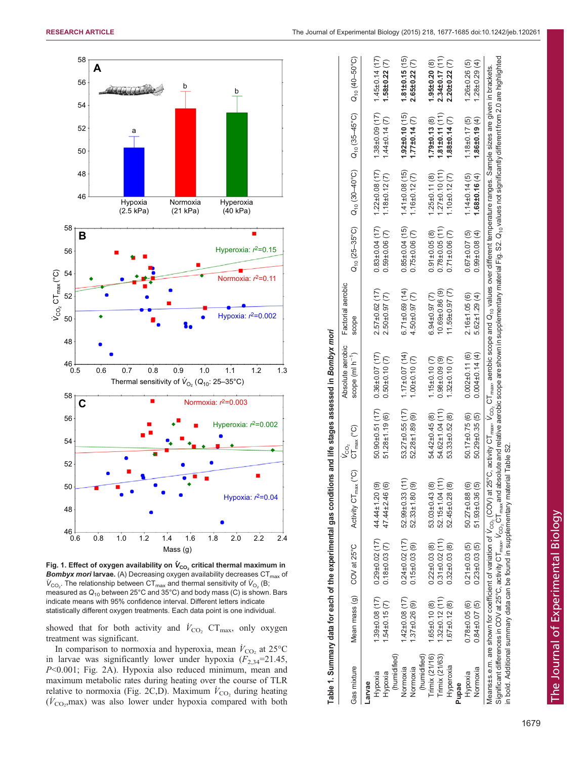<span id="page-2-0"></span>

Fig. 1. Effect of oxygen availability on  $\dot{\mathsf{V}}_{\mathsf{CO}_2}$  critical thermal maximum in **Bombyx mori larvae.** (A) Decreasing oxygen availability decreases  $CT_{max}$  of  $\dot{V}_{\rm CO_2}$ . The relationship between CT<sub>max</sub> and thermal sensitivity of  $\dot{V}_{\rm O_2}$  (B; measured as  $Q_{10}$  between 25°C and 35°C) and body mass (C) is shown. Bars indicate means with 95% confidence interval. Different letters indicate statistically different oxygen treatments. Each data point is one individual.

showed that for both activity and  $\dot{V}_{\text{CO}_2}$  CT<sub>max</sub>, only oxygen treatment was significant.

In comparison to normoxia and hyperoxia, mean  $\dot{V}_{\text{CO}_2}$  at 25°C in larvae was significantly lower under hypoxia  $(F_{2,34}=21.45,$ P<0.001; [Fig. 2](#page-3-0)A). Hypoxia also reduced minimum, mean and maximum metabolic rates during heating over the course of TLR relative to normoxia [\(Fig. 2C](#page-3-0),D). Maximum  $\dot{V}_{\text{CO}_2}$  during heating  $(V_{\text{CO}_2}, \text{max})$  was also lower under hypoxia compared with both

|                                                        |                                                              |                                                                    | Table 1. Summary data for each of the experimental gas conditions and life stages assessed in Bo <i>mbyx mori</i>                                                                                                                                                                                                                                                                                                                                                                                                                                                                                             |                                                     |                                                                   |                                                         |                                                                 |                                                                   |                                                                  |                                                                |
|--------------------------------------------------------|--------------------------------------------------------------|--------------------------------------------------------------------|---------------------------------------------------------------------------------------------------------------------------------------------------------------------------------------------------------------------------------------------------------------------------------------------------------------------------------------------------------------------------------------------------------------------------------------------------------------------------------------------------------------------------------------------------------------------------------------------------------------|-----------------------------------------------------|-------------------------------------------------------------------|---------------------------------------------------------|-----------------------------------------------------------------|-------------------------------------------------------------------|------------------------------------------------------------------|----------------------------------------------------------------|
| Gas mixture                                            | Mean mass (g)                                                | COV at 25°C                                                        | Activity CT <sub>max</sub> (°C)                                                                                                                                                                                                                                                                                                                                                                                                                                                                                                                                                                               | $CT_{max}$ (°C)                                     | Absolute aerobic<br>scope (ml h <sup>-1</sup> )                   | Factorial aerobic<br>scope                              |                                                                 |                                                                   |                                                                  |                                                                |
| (humidified)<br>Hypoxia<br>Hypoxia<br>Larvae           | 1.39±0.08 (17)<br>$1.54 \pm 0.15(7)$                         | $0.29 \pm 0.02$ (17)<br>$0.18 \pm 0.03$ $(7)$                      | 44.44±1.20(9)<br>47.44±2.46(6)                                                                                                                                                                                                                                                                                                                                                                                                                                                                                                                                                                                | $50.90 \pm 0.51$ (17)<br>$51.28 \pm 1.19(6)$        | $0.36 \pm 0.07$ (17)<br>$0.50 \pm 0.10$ $(7)$                     | $2.57\pm0.62$ (17)<br>$2.50\pm0.97(7)$                  | $0.83 \pm 0.04$ (17)<br>$0.59 \pm 0.06$ (7)                     | $1.22 \pm 0.08$ (17)<br>$1.18 \pm 0.12$ (7)                       | 1.38±0.09 (17)<br>$1.44 \pm 0.14$ (7)                            | $1.45 \pm 0.14$ (17)<br>$1.58 \pm 0.22$ (7)                    |
| (humidified)<br>Normoxia<br>Normoxia                   | $1.42 \pm 0.08$ (17)<br>$1.37 \pm 0.26(9)$                   | $0.24\pm0.02$ (17)<br>$0.15 \pm 0.03$ (9)                          | 52.99±0.33 (11)<br>52.33±1.80 (9)                                                                                                                                                                                                                                                                                                                                                                                                                                                                                                                                                                             | 53.27±0.55 (17)<br>52.28±1.89 (9)                   | $1.17\pm0.07$ (14)<br>$1.00 \pm 0.10$ (7)                         | $6.71\pm0.69(14)$<br>4.50±0.97 (7)                      | $0.85\pm0.04(15)$<br>$0.75 \pm 0.06$ (7)                        | $1.41 \pm 0.08$ (15)<br>$1.16 \pm 0.12$ (7)                       | $1.92 \pm 0.10$ (15)<br>$1.77\pm0.14(7)$                         | $1.81 \pm 0.15(15)$<br>$2.65 \pm 0.22$ (7)                     |
| Trimix (21/16)<br>Trimix (21/63)<br>Hyperoxia<br>Pupae | $.32\pm0.12(11)$<br>$1.67 \pm 0.12(8)$<br>$1.65 \pm 0.10(8)$ | $0.31 \pm 0.02$ (11)<br>$0.32 \pm 0.03$ (8)<br>$0.22 \pm 0.03$ (8) | 52.15±1.04 (11)<br>52.45±0.28 (8)<br>53.03±0.43 (8)                                                                                                                                                                                                                                                                                                                                                                                                                                                                                                                                                           | 54.62±1.04 (11)<br>54.42±0.45 (8)<br>53.33±0.52 (8) | $1.15 \pm 0.10$ (7)<br>$0.98 \pm 0.09$ (9)<br>$1.32 \pm 0.10$ (7) | 11.59±0.97 (7)<br>10.69±0.86 (9)<br>$6.94 \pm 0.97$ (7) | $0.78 + 0.05(11)$<br>$0.71 \pm 0.06$ (7)<br>$0.91 \pm 0.05$ (8) | $1.27 \pm 0.10$ (11<br>$1.10 \pm 0.12$ (7)<br>$1.25 \pm 0.11$ (8) | $1.81 \pm 0.11$ (11<br>$1.88 \pm 0.14$ (7)<br>$1.79 \pm 0.13(8)$ | $2.34\pm0.17(11)$<br>$2.20 \pm 0.22$ (7)<br>$1.95 \pm 0.20(8)$ |
| Normoxia<br>Hypoxia                                    | $0.78 \pm 0.05(6)$<br>$0.84 \pm 0.07(5)$                     | $0.21 \pm 0.03$ (5)<br>$0.23 \pm 0.03$ (5)                         | $50.27 \pm 0.88$ (6)<br>51.93±0.36 (5)                                                                                                                                                                                                                                                                                                                                                                                                                                                                                                                                                                        | $50.17 \pm 0.75(6)$<br>50.29±0.35 (5)               | $0.002 \pm 0.11(6)$<br>$0.004 \pm 0.14(4)$                        | $2.16 \pm 1.05(6)$<br>$5.62 \pm 1.29$ (4)               | $0.99 \pm 0.08(4)$<br>$0.67 \pm 0.07$ (5)                       | $.68\pm0.16(4)$<br>$1.14 \pm 0.14$ (5)                            | $1.86 \pm 0.19$ (4)<br>$1.18 \pm 0.17(5)$                        | $1.26 \pm 0.26$ (5)<br>$1.28 \pm 0.29(4)$                      |
|                                                        |                                                              |                                                                    | Significant differences in COV at 25°C, activity CT $_{\rm max}$ V $\rm{Co_{2}}$ CT $_{\rm max}$ and absolute and relative aerobic scope are shown in supplementary material Fig. S2. Q $_{10}$ values not significantly different from 2.0<br>Means±s.e.m. are shown for coefficient of variation of V <sub>Co, (</sub> COV) at 25°C, activity CT <sub>max</sub> , V <sub>CO</sub> , CT <sub>max</sub> , aerobic scope and Q <sub>ro</sub> values over different temperature ranges. Sample sizes are given in brackets.<br>in bold. Additional summary data can be found in supplementary material Table S2 |                                                     |                                                                   |                                                         |                                                                 |                                                                   |                                                                  |                                                                |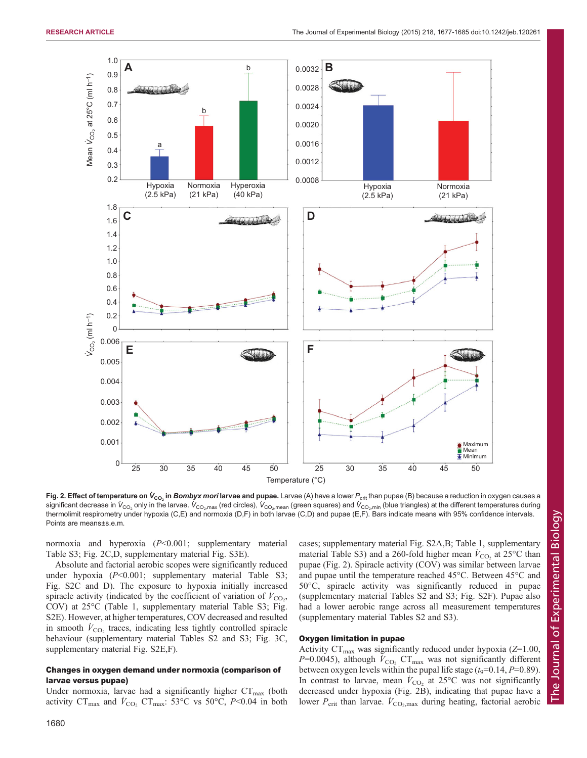<span id="page-3-0"></span>

**Fig. 2. Effect of temperature on**  $\dot{V}_{\text{CO}_2}$  **in** *Bombyx mori* **larvae and pupae.** Larvae (A) have a lower  $P_{\text{crit}}$  than pupae (B) because a reduction in oxygen causes a significant decrease in  $\dot{V}_{\rm CO_2}$  only in the larvae.  $\dot{V}_{\rm CO_2, max}$  (red circles),  $\dot{V}_{\rm CO_2, mean}$  (green squares) and  $\dot{V}_{\rm CO_2, min}$  (blue triangles) at the different temperatures during thermolimit respirometry under hypoxia (C,E) and normoxia (D,F) in both larvae (C,D) and pupae (E,F). Bars indicate means with 95% confidence intervals. Points are means±s.e.m.

normoxia and hyperoxia (P<0.001; [supplementary material](http://jeb.biologists.org/lookup/suppl/doi:10.1242/jeb.120261/-/DC1) [Table S3;](http://jeb.biologists.org/lookup/suppl/doi:10.1242/jeb.120261/-/DC1) Fig. 2C,D, [supplementary material Fig. S3E\)](http://jeb.biologists.org/lookup/suppl/doi:10.1242/jeb.120261/-/DC1).

Absolute and factorial aerobic scopes were significantly reduced under hypoxia (P<0.001; [supplementary material Table S3;](http://jeb.biologists.org/lookup/suppl/doi:10.1242/jeb.120261/-/DC1) [Fig. S2C and D\)](http://jeb.biologists.org/lookup/suppl/doi:10.1242/jeb.120261/-/DC1). The exposure to hypoxia initially increased spiracle activity (indicated by the coefficient of variation of  $\dot{V}_{\text{CO}_2}$ , COV) at 25°C [\(Table 1](#page-2-0), [supplementary material Table S3; Fig.](http://jeb.biologists.org/lookup/suppl/doi:10.1242/jeb.120261/-/DC1) [S2E\)](http://jeb.biologists.org/lookup/suppl/doi:10.1242/jeb.120261/-/DC1). However, at higher temperatures, COV decreased and resulted in smooth  $\dot{V}_{\text{CO}_2}$  traces, indicating less tightly controlled spiracle behaviour [\(supplementary material Tables S2 and S3](http://jeb.biologists.org/lookup/suppl/doi:10.1242/jeb.120261/-/DC1); [Fig. 3](#page-4-0)C, [supplementary material Fig. S2E,F](http://jeb.biologists.org/lookup/suppl/doi:10.1242/jeb.120261/-/DC1)).

# Changes in oxygen demand under normoxia (comparison of larvae versus pupae)

Under normoxia, larvae had a significantly higher  $CT_{\text{max}}$  (both activity  $CT_{\text{max}}$  and  $\dot{V}_{\text{CO}_2}$   $CT_{\text{max}}$ : 53°C vs 50°C, P<0.04 in both cases; [supplementary material Fig. S2A,B](http://jeb.biologists.org/lookup/suppl/doi:10.1242/jeb.120261/-/DC1); [Table 1,](#page-2-0) [supplementary](http://jeb.biologists.org/lookup/suppl/doi:10.1242/jeb.120261/-/DC1) [material Table S3\)](http://jeb.biologists.org/lookup/suppl/doi:10.1242/jeb.120261/-/DC1) and a 260-fold higher mean  $\dot{V}_{\text{CO}_2}$  at 25°C than pupae (Fig. 2). Spiracle activity (COV) was similar between larvae and pupae until the temperature reached 45°C. Between 45°C and 50°C, spiracle activity was significantly reduced in pupae [\(supplementary material Tables S2 and S3; Fig. S2F](http://jeb.biologists.org/lookup/suppl/doi:10.1242/jeb.120261/-/DC1)). Pupae also had a lower aerobic range across all measurement temperatures [\(supplementary material Tables S2 and S3\)](http://jeb.biologists.org/lookup/suppl/doi:10.1242/jeb.120261/-/DC1).

## Oxygen limitation in pupae

Activity  $CT_{\text{max}}$  was significantly reduced under hypoxia ( $Z=1.00$ ,  $P=0.0045$ ), although  $\dot{V}_{\text{CO}_2}$  CT<sub>max</sub> was not significantly different between oxygen levels within the pupal life stage  $(t_9=0.14, P=0.89)$ . In contrast to larvae, mean  $\dot{V}_{\text{CO}_2}$  at 25°C was not significantly decreased under hypoxia (Fig. 2B), indicating that pupae have a lower  $P_{\text{crit}}$  than larvae.  $\dot{V}_{\text{CO}_2,\text{max}}$  during heating, factorial aerobic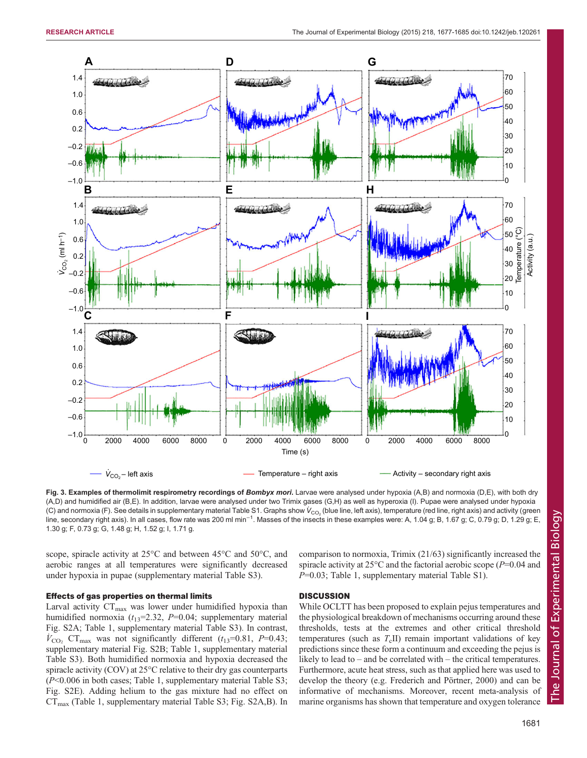<span id="page-4-0"></span>

Fig. 3. Examples of thermolimit respirometry recordings of Bombyx mori. Larvae were analysed under hypoxia (A,B) and normoxia (D,E), with both dry (A,D) and humidified air (B,E). In addition, larvae were analysed under two Trimix gases (G,H) as well as hyperoxia (I). Pupae were analysed under hypoxia (C) and normoxia (F). See details in [supplementary material Table S1](http://jeb.biologists.org/lookup/suppl/doi:10.1242/jeb.120261/-/DC1). Graphs show  $\dot{\mathsf{V}}_{\mathrm{CO}_2}$  (blue line, left axis), temperature (red line, right axis) and activity (green line, secondary right axis). In all cases, flow rate was 200 ml min<sup>−1</sup>. Masses of the insects in these examples were: A, 1.04 g; B, 1.67 g; C, 0.79 g; D, 1.29 g; E, 1.30 g; F, 0.73 g; G, 1.48 g; H, 1.52 g; I, 1.71 g.

scope, spiracle activity at 25°C and between 45°C and 50°C, and aerobic ranges at all temperatures were significantly decreased under hypoxia in pupae ([supplementary material Table S3\)](http://jeb.biologists.org/lookup/suppl/doi:10.1242/jeb.120261/-/DC1).

### Effects of gas properties on thermal limits

Larval activity  $CT_{\text{max}}$  was lower under humidified hypoxia than humidified normoxia  $(t_{13}=2.32, P=0.04;$  [supplementary material](http://jeb.biologists.org/lookup/suppl/doi:10.1242/jeb.120261/-/DC1) [Fig. S2A;](http://jeb.biologists.org/lookup/suppl/doi:10.1242/jeb.120261/-/DC1) [Table 1](#page-2-0), [supplementary material Table S3\)](http://jeb.biologists.org/lookup/suppl/doi:10.1242/jeb.120261/-/DC1). In contrast,  $\dot{V}_{\text{CO}_2}$  CT<sub>max</sub> was not significantly different (t<sub>13</sub>=0.81, P=0.43; [supplementary material Fig. S2B;](http://jeb.biologists.org/lookup/suppl/doi:10.1242/jeb.120261/-/DC1) [Table 1,](#page-2-0) [supplementary material](http://jeb.biologists.org/lookup/suppl/doi:10.1242/jeb.120261/-/DC1) [Table S3\)](http://jeb.biologists.org/lookup/suppl/doi:10.1242/jeb.120261/-/DC1). Both humidified normoxia and hypoxia decreased the spiracle activity (COV) at 25°C relative to their dry gas counterparts (P<0.006 in both cases; [Table 1](#page-2-0), [supplementary material Table S3;](http://jeb.biologists.org/lookup/suppl/doi:10.1242/jeb.120261/-/DC1) [Fig. S2E\)](http://jeb.biologists.org/lookup/suppl/doi:10.1242/jeb.120261/-/DC1). Adding helium to the gas mixture had no effect on  $CT_{\text{max}}$  ([Table 1](#page-2-0), [supplementary material Table S3; Fig. S2A,B](http://jeb.biologists.org/lookup/suppl/doi:10.1242/jeb.120261/-/DC1)). In comparison to normoxia, Trimix (21/63) significantly increased the spiracle activity at  $25^{\circ}$ C and the factorial aerobic scope ( $P=0.04$  and  $P=0.03$ ; [Table 1,](#page-2-0) [supplementary material Table S1\)](http://jeb.biologists.org/lookup/suppl/doi:10.1242/jeb.120261/-/DC1).

### **DISCUSSION**

While OCLTT has been proposed to explain pejus temperatures and the physiological breakdown of mechanisms occurring around these thresholds, tests at the extremes and other critical threshold temperatures (such as  $T_c$ II) remain important validations of key predictions since these form a continuum and exceeding the pejus is likely to lead to – and be correlated with – the critical temperatures. Furthermore, acute heat stress, such as that applied here was used to develop the theory (e.g. [Frederich and Pörtner, 2000](#page-7-0)) and can be informative of mechanisms. Moreover, recent meta-analysis of marine organisms has shown that temperature and oxygen tolerance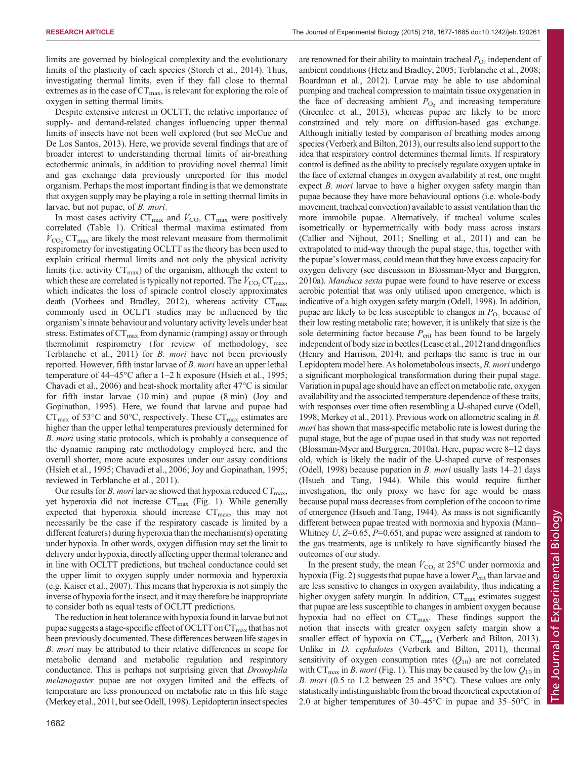are renowned for their ability to maintain tracheal  $P_{\text{O}_2}$  independent of

limits are governed by biological complexity and the evolutionary limits of the plasticity of each species [\(Storch et al., 2014](#page-8-0)). Thus, investigating thermal limits, even if they fall close to thermal extremes as in the case of  $CT_{\text{max}}$ , is relevant for exploring the role of oxygen in setting thermal limits.

Despite extensive interest in OCLTT, the relative importance of supply- and demand-related changes influencing upper thermal limits of insects have not been well explored (but see [McCue and](#page-8-0) [De Los Santos, 2013\)](#page-8-0). Here, we provide several findings that are of broader interest to understanding thermal limits of air-breathing ectothermic animals, in addition to providing novel thermal limit and gas exchange data previously unreported for this model organism. Perhaps the most important finding is that we demonstrate that oxygen supply may be playing a role in setting thermal limits in larvae, but not pupae, of B. mori.

In most cases activity  $CT_{\text{max}}$  and  $\dot{V}_{\text{CO}_2}$   $CT_{\text{max}}$  were positively correlated ([Table 1](#page-2-0)). Critical thermal maxima estimated from  $\dot{V}_{\text{CO}_2}$  CT<sub>max</sub> are likely the most relevant measure from thermolimit respirometry for investigating OCLTT as the theory has been used to explain critical thermal limits and not only the physical activity limits (i.e. activity  $CT_{\text{max}}$ ) of the organism, although the extent to which these are correlated is typically not reported. The  $\dot{V}_{\rm CO_2}$  CT<sub>max</sub>, which indicates the loss of spiracle control closely approximates death ([Vorhees and Bradley, 2012](#page-8-0)), whereas activity  $CT_{max}$ commonly used in OCLTT studies may be influenced by the organism's innate behaviour and voluntary activity levels under heat stress. Estimates of  $CT_{\text{max}}$  from dynamic (ramping) assay or through thermolimit respirometry (for review of methodology, see [Terblanche et al., 2011\)](#page-8-0) for *B. mori* have not been previously reported. However, fifth instar larvae of B. mori have an upper lethal temperature of 44–45°C after a 1–2 h exposure ([Hsieh et al., 1995](#page-7-0); [Chavadi et al., 2006\)](#page-7-0) and heat-shock mortality after  $47^{\circ}$ C is similar for fifth instar larvae (10 min) and pupae (8 min) [\(Joy and](#page-7-0) [Gopinathan, 1995\)](#page-7-0). Here, we found that larvae and pupae had  $CT_{\text{max}}$  of 53 $\textdegree$ C and 50 $\textdegree$ C, respectively. These  $CT_{\text{max}}$  estimates are higher than the upper lethal temperatures previously determined for B. mori using static protocols, which is probably a consequence of the dynamic ramping rate methodology employed here, and the overall shorter, more acute exposures under our assay conditions [\(Hsieh et al., 1995](#page-7-0); [Chavadi et al., 2006](#page-7-0); [Joy and Gopinathan, 1995](#page-7-0); reviewed in [Terblanche et al., 2011\)](#page-8-0).

Our results for *B. mori* larvae showed that hypoxia reduced  $CT_{\text{max}}$ , yet hyperoxia did not increase  $CT_{\text{max}}$  ([Fig. 1\)](#page-2-0). While generally expected that hyperoxia should increase  $CT_{\text{max}}$ , this may not necessarily be the case if the respiratory cascade is limited by a different feature(s) during hyperoxia than the mechanism(s) operating under hypoxia. In other words, oxygen diffusion may set the limit to delivery under hypoxia, directly affecting upper thermal tolerance and in line with OCLTT predictions, but tracheal conductance could set the upper limit to oxygen supply under normoxia and hyperoxia (e.g. [Kaiser et al., 2007](#page-7-0)). This means that hyperoxia is not simply the inverse of hypoxia for the insect, and it may therefore be inappropriate to consider both as equal tests of OCLTT predictions.

The reduction in heat tolerance with hypoxia found in larvae but not pupae suggests a stage-specific effect of OCLTT on  $CT_{\text{max}}$  that has not been previously documented. These differences between life stages in B. mori may be attributed to their relative differences in scope for metabolic demand and metabolic regulation and respiratory conductance. This is perhaps not surprising given that Drosophila melanogaster pupae are not oxygen limited and the effects of temperature are less pronounced on metabolic rate in this life stage [\(Merkey et al., 2011](#page-8-0), but see [Odell, 1998](#page-8-0)). Lepidopteran insect species

ambient conditions [\(Hetz and Bradley, 2005](#page-7-0); [Terblanche et al., 2008](#page-8-0); [Boardman et al., 2012](#page-7-0)). Larvae may be able to use abdominal pumping and tracheal compression to maintain tissue oxygenation in the face of decreasing ambient  $P_{\text{O}_2}$  and increasing temperature [\(Greenlee et al., 2013](#page-7-0)), whereas pupae are likely to be more constrained and rely more on diffusion-based gas exchange. Although initially tested by comparison of breathing modes among species [\(Verberk and Bilton, 2013](#page-8-0)), our results also lend support to the idea that respiratory control determines thermal limits. If respiratory control is defined as the ability to precisely regulate oxygen uptake in the face of external changes in oxygen availability at rest, one might expect *B. mori* larvae to have a higher oxygen safety margin than pupae because they have more behavioural options (i.e. whole-body movement, tracheal convection) available to assist ventilation than the more immobile pupae. Alternatively, if tracheal volume scales isometrically or hypermetrically with body mass across instars [\(Callier and Nijhout, 2011](#page-7-0); [Snelling et al., 2011\)](#page-8-0) and can be extrapolated to mid-way through the pupal stage, this, together with the pupae's lower mass, could mean that they have excess capacity for oxygen delivery (see discussion in [Blossman-Myer and Burggren,](#page-7-0) [2010a\)](#page-7-0). Manduca sexta pupae were found to have reserve or excess aerobic potential that was only utilised upon emergence, which is indicative of a high oxygen safety margin [\(Odell, 1998\)](#page-8-0). In addition, pupae are likely to be less susceptible to changes in  $P_{\text{O}_2}$  because of their low resting metabolic rate; however, it is unlikely that size is the sole determining factor because  $P_{\text{crit}}$  has been found to be largely independent of body size in beetles ([Lease et al., 2012\)](#page-8-0) and dragonflies [\(Henry and Harrison, 2014](#page-7-0)), and perhaps the same is true in our Lepidoptera model here. As holometabolous insects, B. mori undergo a significant morphological transformation during their pupal stage. Variation in pupal age should have an effect on metabolic rate, oxygen availability and the associated temperature dependence of these traits, with responses over time often resembling a U-shaped curve [\(Odell,](#page-8-0) [1998; Merkey et al., 2011\)](#page-8-0). Previous work on allometric scaling in B. mori has shown that mass-specific metabolic rate is lowest during the pupal stage, but the age of pupae used in that study was not reported [\(Blossman-Myer and Burggren, 2010a](#page-7-0)). Here, pupae were 8–12 days old, which is likely the nadir of the U-shaped curve of responses [\(Odell, 1998](#page-8-0)) because pupation in *B. mori* usually lasts  $14-21$  days [\(Hsueh and Tang, 1944](#page-7-0)). While this would require further investigation, the only proxy we have for age would be mass because pupal mass decreases from completion of the cocoon to time of emergence ([Hsueh and Tang, 1944\)](#page-7-0). As mass is not significantly different between pupae treated with normoxia and hypoxia (Mann– Whitney U,  $Z=0.65$ ,  $P=0.65$ ), and pupae were assigned at random to the gas treatments, age is unlikely to have significantly biased the outcomes of our study.

In the present study, the mean  $\dot{V}_{\text{CO}_2}$  at 25°C under normoxia and hypoxia ([Fig. 2\)](#page-3-0) suggests that pupae have a lower  $P_{\text{crit}}$  than larvae and are less sensitive to changes in oxygen availability, thus indicating a higher oxygen safety margin. In addition,  $CT_{\text{max}}$  estimates suggest that pupae are less susceptible to changes in ambient oxygen because hypoxia had no effect on CT<sub>max</sub>. These findings support the notion that insects with greater oxygen safety margin show a smaller effect of hypoxia on  $CT_{\text{max}}$  ([Verberk and Bilton, 2013\)](#page-8-0). Unlike in D. cephalotes [\(Verberk and Bilton, 2011\)](#page-8-0), thermal sensitivity of oxygen consumption rates  $(Q_{10})$  are not correlated with CT<sub>max</sub> in *B. mori* [\(Fig. 1\)](#page-2-0). This may be caused by the low  $Q_{10}$  in B. mori (0.5 to 1.2 between 25 and 35°C). These values are only statistically indistinguishable from the broad theoretical expectation of 2.0 at higher temperatures of 30–45°C in pupae and 35–50°C in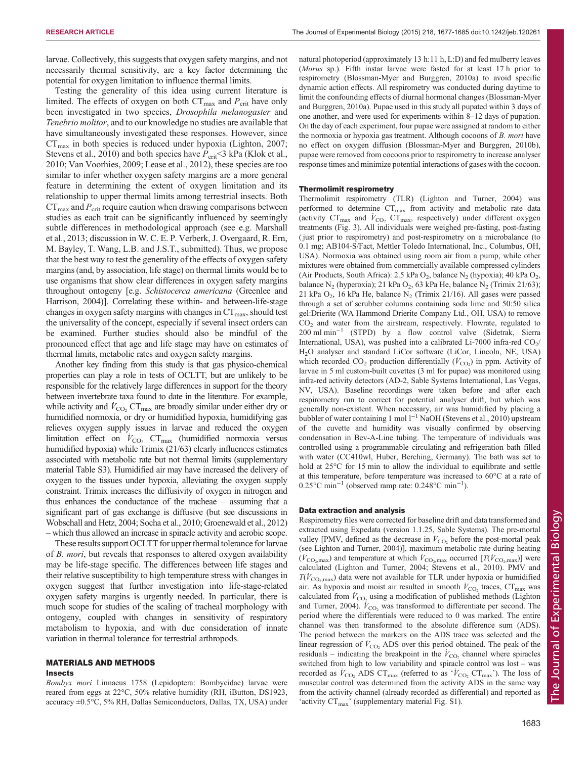larvae. Collectively, this suggests that oxygen safety margins, and not necessarily thermal sensitivity, are a key factor determining the potential for oxygen limitation to influence thermal limits.

Testing the generality of this idea using current literature is limited. The effects of oxygen on both  $CT_{\text{max}}$  and  $P_{\text{crit}}$  have only been investigated in two species, *Drosophila melanogaster* and Tenebrio molitor, and to our knowledge no studies are available that have simultaneously investigated these responses. However, since  $CT_{\text{max}}$  in both species is reduced under hypoxia ([Lighton, 2007](#page-8-0); [Stevens et al., 2010](#page-8-0)) and both species have  $P_{\text{crit}}$  <3 kPa [\(Klok et al.,](#page-7-0) [2010](#page-7-0); [Van Voorhies, 2009; Lease et al., 2012\)](#page-8-0), these species are too similar to infer whether oxygen safety margins are a more general feature in determining the extent of oxygen limitation and its relationship to upper thermal limits among terrestrial insects. Both  $CT_{\text{max}}$  and  $P_{\text{crit}}$  require caution when drawing comparisons between studies as each trait can be significantly influenced by seemingly subtle differences in methodological approach (see e.g. Marshall et al., 2013; discussion in W. C. E. P. Verberk, J. Overgaard, R. Ern, M. Bayley, T. Wang, L.B. and J.S.T., submitted). Thus, we propose that the best way to test the generality of the effects of oxygen safety margins (and, by association, life stage) on thermal limits would be to use organisms that show clear differences in oxygen safety margins throughout ontogeny [e.g. Schistocerca americana [\(Greenlee and](#page-7-0) [Harrison, 2004](#page-7-0))]. Correlating these within- and between-life-stage changes in oxygen safety margins with changes in  $CT_{\text{max}}$ , should test the universality of the concept, especially if several insect orders can be examined. Further studies should also be mindful of the pronounced effect that age and life stage may have on estimates of thermal limits, metabolic rates and oxygen safety margins.

Another key finding from this study is that gas physico-chemical properties can play a role in tests of OCLTT, but are unlikely to be responsible for the relatively large differences in support for the theory between invertebrate taxa found to date in the literature. For example, while activity and  $\dot{V}_{\text{CO}_2}$  CT<sub>max</sub> are broadly similar under either dry or humidified normoxia, or dry or humidified hypoxia, humidifying gas relieves oxygen supply issues in larvae and reduced the oxygen limitation effect on  $V_{\text{CO}_2}$  CT<sub>max</sub> (humidified normoxia versus humidified hypoxia) while Trimix (21/63) clearly influences estimates associated with metabolic rate but not thermal limits [\(supplementary](http://jeb.biologists.org/lookup/suppl/doi:10.1242/jeb.120261/-/DC1) [material Table S3\)](http://jeb.biologists.org/lookup/suppl/doi:10.1242/jeb.120261/-/DC1). Humidified air may have increased the delivery of oxygen to the tissues under hypoxia, alleviating the oxygen supply constraint. Trimix increases the diffusivity of oxygen in nitrogen and thus enhances the conductance of the tracheae – assuming that a significant part of gas exchange is diffusive (but see discussions in [Wobschall and Hetz, 2004; Socha et al., 2010;](#page-8-0) [Groenewald et al., 2012\)](#page-7-0) – which thus allowed an increase in spiracle activity and aerobic scope.

These results support OCLTT for upper thermal tolerance for larvae of *B. mori*, but reveals that responses to altered oxygen availability may be life-stage specific. The differences between life stages and their relative susceptibility to high temperature stress with changes in oxygen suggest that further investigation into life-stage-related oxygen safety margins is urgently needed. In particular, there is much scope for studies of the scaling of tracheal morphology with ontogeny, coupled with changes in sensitivity of respiratory metabolism to hypoxia, and with due consideration of innate variation in thermal tolerance for terrestrial arthropods.

# MATERIALS AND METHODS

## Insects

Bombyx mori Linnaeus 1758 (Lepidoptera: Bombycidae) larvae were reared from eggs at 22°C, 50% relative humidity (RH, iButton, DS1923, accuracy ±0.5°C, 5% RH, Dallas Semiconductors, Dallas, TX, USA) under natural photoperiod (approximately 13 h:11 h, L:D) and fed mulberry leaves (Morus sp.). Fifth instar larvae were fasted for at least 17 h prior to respirometry ([Blossman-Myer and Burggren, 2010a](#page-7-0)) to avoid specific dynamic action effects. All respirometry was conducted during daytime to limit the confounding effects of diurnal hormonal changes ([Blossman-Myer](#page-7-0) [and Burggren, 2010a\)](#page-7-0). Pupae used in this study all pupated within 3 days of one another, and were used for experiments within 8–12 days of pupation. On the day of each experiment, four pupae were assigned at random to either the normoxia or hypoxia gas treatment. Although cocoons of B. mori have no effect on oxygen diffusion ([Blossman-Myer and Burggren, 2010b](#page-7-0)), pupae were removed from cocoons prior to respirometry to increase analyser response times and minimize potential interactions of gases with the cocoon.

## Thermolimit respirometry

Thermolimit respirometry (TLR) ([Lighton and Turner, 2004\)](#page-8-0) was performed to determine  $CT_{\text{max}}$  from activity and metabolic rate data (activity  $CT_{\text{max}}$  and  $\dot{V}_{\text{CO}_2}$   $CT_{\text{max}}$ , respectively) under different oxygen treatments [\(Fig. 3\)](#page-4-0). All individuals were weighed pre-fasting, post-fasting ( just prior to respirometry) and post-respirometry on a microbalance (to 0.1 mg; AB104-S/Fact, Mettler Toledo International, Inc., Columbus, OH, USA). Normoxia was obtained using room air from a pump, while other mixtures were obtained from commercially available compressed cylinders (Air Products, South Africa): 2.5 kPa  $O_2$ , balance N<sub>2</sub> (hypoxia); 40 kPa  $O_2$ , balance N<sub>2</sub> (hyperoxia); 21 kPa O<sub>2</sub>, 63 kPa He, balance N<sub>2</sub> (Trimix 21/63); 21 kPa  $O_2$ , 16 kPa He, balance  $N_2$  (Trimix 21/16). All gases were passed through a set of scrubber columns containing soda lime and 50:50 silica gel:Drierite (WA Hammond Drierite Company Ltd., OH, USA) to remove  $CO<sub>2</sub>$  and water from the airstream, respectively. Flowrate, regulated to 200 ml min−<sup>1</sup> (STPD) by a flow control valve (Sidetrak, Sierra International, USA), was pushed into a calibrated Li-7000 infra-red  $CO<sub>2</sub>/$ H2O analyser and standard LiCor software (LiCor, Lincoln, NE, USA) which recorded  $CO_2$  production differentially  $(V_{CO_2})$  in ppm. Activity of larvae in 5 ml custom-built cuvettes (3 ml for pupae) was monitored using infra-red activity detectors (AD-2, Sable Systems International, Las Vegas, NV, USA). Baseline recordings were taken before and after each respirometry run to correct for potential analyser drift, but which was generally non-existent. When necessary, air was humidified by placing a bubbler of water containing 1 mol l−<sup>1</sup> NaOH ([Stevens et al., 2010](#page-8-0)) upstream of the cuvette and humidity was visually confirmed by observing condensation in Bev-A-Line tubing. The temperature of individuals was controlled using a programmable circulating and refrigeration bath filled with water (CC410wl, Huber, Berching, Germany). The bath was set to hold at 25°C for 15 min to allow the individual to equilibrate and settle at this temperature, before temperature was increased to 60°C at a rate of 0.25°C min<sup>-1</sup> (observed ramp rate: 0.248°C min<sup>-1</sup>).

## Data extraction and analysis

Respirometry files were corrected for baseline drift and data transformed and extracted using Expedata (version 1.1.25, Sable Systems). The pre-mortal valley [PMV, defined as the decrease in  $\dot{V}_{\text{CO}_2}$  before the post-mortal peak (see [Lighton and Turner, 2004\)](#page-8-0)], maximum metabolic rate during heating  $(\dot{V}_{\text{CO}_2,\text{max}})$  and temperature at which  $\dot{V}_{\text{CO}_2,\text{max}}$  occurred  $[T(\dot{V}_{\text{CO}_2,\text{max}})]$  were calculated [\(Lighton and Turner, 2004](#page-8-0); [Stevens et al., 2010](#page-8-0)). PMV and  $T(V_{\rm CO_2, max})$  data were not available for TLR under hypoxia or humidified air. As hypoxia and moist air resulted in smooth  $\dot{V}_{\text{CO}_2}$  traces,  $\text{CT}_{\text{max}}$  was calculated from  $V_{\text{CO}_2}$  using a modification of published methods [\(Lighton](#page-8-0) [and Turner, 2004\)](#page-8-0).  $\dot{V}_{\text{CO}_2}$  was transformed to differentiate per second. The period where the differentials were reduced to 0 was marked. The entire channel was then transformed to the absolute difference sum (ADS). The period between the markers on the ADS trace was selected and the linear regression of  $V_{\text{CO}_2}$  ADS over this period obtained. The peak of the residuals – indicating the breakpoint in the  $V_{\text{CO}_2}$  channel where spiracles switched from high to low variability and spiracle control was lost – was recorded as  $\dot{V}_{\text{CO}_2}$  ADS CT<sub>max</sub> (referred to as ' $\dot{V}_{\text{CO}_2}$  CT<sub>max</sub>'). The loss of muscular control was determined from the activity ADS in the same way from the activity channel (already recorded as differential) and reported as 'activity  $CT_{\text{max}}$ ' ([supplementary material Fig. S1\)](http://jeb.biologists.org/lookup/suppl/doi:10.1242/jeb.120261/-/DC1).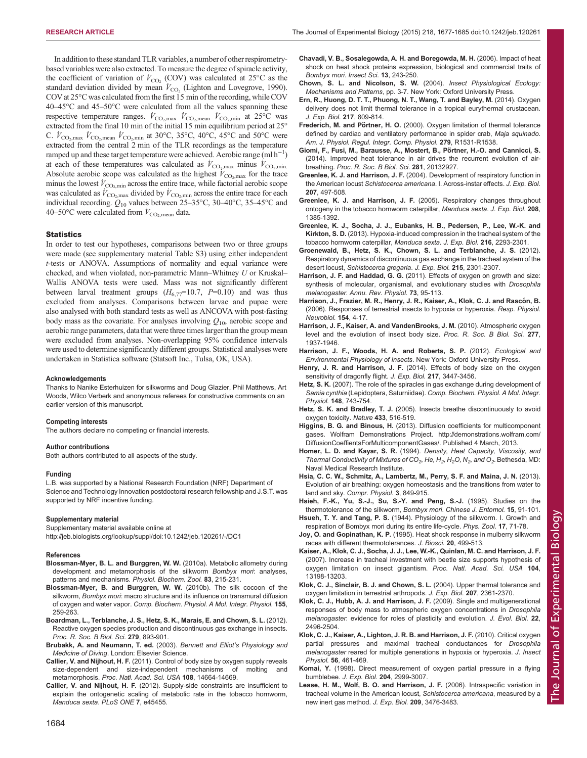<span id="page-7-0"></span>RESEARCH ARTICLE **The Journal of Experimental Biology (2015)** 218, 1677-1685 doi:10.1242/jeb.120261

In addition to these standard TLR variables, a number of other respirometrybased variables were also extracted. To measure the degree of spiracle activity, the coefficient of variation of  $V_{\text{CO}_2}$  (COV) was calculated at 25°C as the standard deviation divided by mean  $\dot{V}_{\text{CO}_2}$  [\(Lighton and Lovegrove, 1990](#page-8-0)). COV at 25°C was calculated from the first 15 min of the recording, while COV 40–45°C and 45–50°C were calculated from all the values spanning these respective temperature ranges.  $\dot{V}_{\text{CO}_2,\text{max}}$   $\dot{V}_{\text{CO}_2,\text{mean}}$   $\dot{V}_{\text{CO}_2,\text{min}}$  at 25°C was extracted from the final 10 min of the initial 15 min equilibrium period at 25° C.  $\dot{V}_{\text{CO}_2,\text{max}}$   $\dot{V}_{\text{CO}_2,\text{mean}}$   $\dot{V}_{\text{CO}_2,\text{min}}$  at 30°C, 35°C, 40°C, 45°C and 50°C were extracted from the central 2 min of the TLR recordings as the temperature ramped up and these target temperature were achieved. Aerobic range  $(\text{ml h}^{-1})$ at each of these temperatures was calculated as  $\dot{V}_{\text{CO}_2,\text{max}}$  minus  $\dot{V}_{\text{CO}_2,\text{min}}$ . Absolute aerobic scope was calculated as the highest  $V_{\text{CO}_2,\text{max}}$  for the trace minus the lowest  $V_{\text{CO}_2,\text{min}}$  across the entire trace, while factorial aerobic scope was calculated as  $\dot{V}_{\text{CO}_2,\text{max}}$  divided by  $\dot{V}_{\text{CO}_2,\text{min}}$  across the entire trace for each individual recording.  $Q_{10}$  values between 25–35°C, 30–40°C, 35–45°C and 40–50°C were calculated from  $\dot{V}_{\text{CO}_2,\text{mean}}$  data.

#### **Statistics**

In order to test our hypotheses, comparisons between two or three groups were made (see [supplementary material Table S3\)](http://jeb.biologists.org/lookup/suppl/doi:10.1242/jeb.120261/-/DC1) using either independent t-tests or ANOVA. Assumptions of normality and equal variance were checked, and when violated, non-parametric Mann–Whitney U or Kruskal– Wallis ANOVA tests were used. Mass was not significantly different between larval treatment groups  $(H_{6,77}=10.7, P=0.10)$  and was thus excluded from analyses. Comparisons between larvae and pupae were also analysed with both standard tests as well as ANCOVA with post-fasting body mass as the covariate. For analyses involving  $Q_{10}$ , aerobic scope and aerobic range parameters, data that were three times larger than the group mean were excluded from analyses. Non-overlapping 95% confidence intervals were used to determine significantly different groups. Statistical analyses were undertaken in Statistica software (Statsoft Inc., Tulsa, OK, USA).

#### Acknowledgements

Thanks to Nanike Esterhuizen for silkworms and Doug Glazier, Phil Matthews, Art Woods, Wilco Verberk and anonymous referees for constructive comments on an earlier version of this manuscript.

#### Competing interests

The authors declare no competing or financial interests.

#### Author contributions

Both authors contributed to all aspects of the study.

#### Funding

L.B. was supported by a National Research Foundation (NRF) Department of Science and Technology Innovation postdoctoral research fellowship and J.S.T. was supported by NRF incentive funding.

#### Supplementary material

Supplementary material available online at <http://jeb.biologists.org/lookup/suppl/doi:10.1242/jeb.120261/-/DC1>

#### References

- [Blossman-Myer, B. L. and Burggren, W. W.](http://dx.doi.org/10.1086/648393) (2010a). Metabolic allometry during [development and metamorphosis of the silkworm](http://dx.doi.org/10.1086/648393) Bombyx mori: analyses, [patterns and mechanisms.](http://dx.doi.org/10.1086/648393) Physiol. Biochem. Zool. 83, 215-231.
- [Blossman-Myer, B. and Burggren, W. W.](http://dx.doi.org/10.1016/j.cbpa.2009.11.007) (2010b). The silk cocoon of the silkworm, Bombyx mori[: macro structure and its influence on transmural diffusion](http://dx.doi.org/10.1016/j.cbpa.2009.11.007) of oxygen and water vapor. [Comp. Biochem. Physiol. A Mol. Integr. Physiol.](http://dx.doi.org/10.1016/j.cbpa.2009.11.007) 155, [259-263.](http://dx.doi.org/10.1016/j.cbpa.2009.11.007)
- [Boardman, L., Terblanche, J. S., Hetz, S. K., Marais, E. and Chown, S. L.](http://dx.doi.org/10.1098/rspb.2011.1243) (2012). [Reactive oxygen species production and discontinuous gas exchange in insects.](http://dx.doi.org/10.1098/rspb.2011.1243) [Proc. R. Soc. B Biol. Sci.](http://dx.doi.org/10.1098/rspb.2011.1243) 279, 893-901.
- Brubakk, A. and Neumann, T. ed. (2003). Bennett and Elliot's Physiology and Medicine of Diving. London: Elsevier Science.
- Callier, V. and Nijhout, H. F. [\(2011\). Control of body size by oxygen supply reveals](http://dx.doi.org/10.1073/pnas.1106556108) [size-dependent and size-independent mechanisms of molting and](http://dx.doi.org/10.1073/pnas.1106556108) metamorphosis. [Proc. Natl. Acad. Sci. USA](http://dx.doi.org/10.1073/pnas.1106556108) 108, 14664-14669.
- Callier, V. and Nijhout, H. F. [\(2012\). Supply-side constraints are insufficient to](http://dx.doi.org/10.1371/journal.pone.0045455) [explain the ontogenetic scaling of metabolic rate in the tobacco hornworm,](http://dx.doi.org/10.1371/journal.pone.0045455) [Manduca sexta](http://dx.doi.org/10.1371/journal.pone.0045455). PLoS ONE 7, e45455.
- [Chavadi, V. B., Sosalegowda, A. H. and Boregowda, M. H.](http://dx.doi.org/10.1111/j.1744-7917.2006.00090.x) (2006). Impact of heat [shock on heat shock proteins expression, biological and commercial traits of](http://dx.doi.org/10.1111/j.1744-7917.2006.00090.x) [Bombyx mori](http://dx.doi.org/10.1111/j.1744-7917.2006.00090.x). Insect Sci. 13, 243-250.
- Chown, S. L. and Nicolson, S. W. (2004). Insect Physiological Ecology: Mechanisms and Patterns, pp. 3-7. New York: Oxford University Press.
- [Ern, R., Huong, D. T. T., Phuong, N. T., Wang, T. and Bayley, M.](http://dx.doi.org/10.1242/jeb.094169) (2014). Oxygen [delivery does not limit thermal tolerance in a tropical eurythermal crustacean.](http://dx.doi.org/10.1242/jeb.094169) [J. Exp. Biol.](http://dx.doi.org/10.1242/jeb.094169) 217, 809-814.
- Frederich, M. and Pörtner, H. O. (2000). Oxygen limitation of thermal tolerance defined by cardiac and ventilatory performance in spider crab, Maja squinado. Am. J. Physiol. Regul. Integr. Comp. Physiol. 279, R1531-R1538.
- [Giomi, F., Fusi, M., Barausse, A., Mostert, B., Po](http://dx.doi.org/10.1098/rspb.2013.2927)̈rtner, H.-O. and Cannicci, S. [\(2014\). Improved heat tolerance in air drives the recurrent evolution of air](http://dx.doi.org/10.1098/rspb.2013.2927)breathing. [Proc. R. Soc. B Biol. Sci.](http://dx.doi.org/10.1098/rspb.2013.2927) 281, 20132927.
- Greenlee, K. J. and Harrison, J. F. [\(2004\). Development of respiratory function in](http://dx.doi.org/10.1242/jeb.00767) the American locust [Schistocerca americana](http://dx.doi.org/10.1242/jeb.00767). I. Across-instar effects. J. Exp. Biol. 207[, 497-508.](http://dx.doi.org/10.1242/jeb.00767)
- Greenlee, K. J. and Harrison, J. F. [\(2005\). Respiratory changes throughout](http://dx.doi.org/10.1242/jeb.01521) [ontogeny in the tobacco hornworm caterpillar,](http://dx.doi.org/10.1242/jeb.01521) Manduca sexta. J. Exp. Biol. 208, [1385-1392.](http://dx.doi.org/10.1242/jeb.01521)
- [Greenlee, K. J., Socha, J. J., Eubanks, H. B., Pedersen, P., Lee, W.-K. and](http://dx.doi.org/10.1242/jeb.082479) Kirkton, S. D. [\(2013\). Hypoxia-induced compression in the tracheal system of the](http://dx.doi.org/10.1242/jeb.082479) [tobacco hornworm caterpillar,](http://dx.doi.org/10.1242/jeb.082479) Manduca sexta. J. Exp. Biol. 216, 2293-2301.
- [Groenewald, B., Hetz, S. K., Chown, S. L. and Terblanche, J. S.](http://dx.doi.org/10.1242/jeb.070995) (2012). [Respiratory dynamics of discontinuous gas exchange in the tracheal system of the](http://dx.doi.org/10.1242/jeb.070995) desert locust, [Schistocerca gregaria](http://dx.doi.org/10.1242/jeb.070995). J. Exp. Biol. 215, 2301-2307.
- Harrison, J. F. and Haddad, G. G. [\(2011\). Effects of oxygen on growth and size:](http://dx.doi.org/10.1146/annurev-physiol-012110-142155) [synthesis of molecular, organismal, and evolutionary studies with](http://dx.doi.org/10.1146/annurev-physiol-012110-142155) Drosophila melanogaster. [Annu. Rev. Physiol.](http://dx.doi.org/10.1146/annurev-physiol-012110-142155) 73, 95-113.
- Harrison, J., Frazier, M. R., Henry, J. R., Kaiser, A., Klok, C. J. and Rascón, B. [\(2006\). Responses of terrestrial insects to hypoxia or hyperoxia.](http://dx.doi.org/10.1016/j.resp.2006.02.008) Resp. Physiol. [Neurobiol.](http://dx.doi.org/10.1016/j.resp.2006.02.008) 154, 4-17.
- [Harrison, J. F., Kaiser, A. and VandenBrooks, J. M.](http://dx.doi.org/10.1098/rspb.2010.0001) (2010). Atmospheric oxygen [level and the evolution of insect body size.](http://dx.doi.org/10.1098/rspb.2010.0001) Proc. R. Soc. B Biol. Sci. 277, [1937-1946.](http://dx.doi.org/10.1098/rspb.2010.0001)
- Harrison, J. F., Woods, H. A. and Roberts, S. P. (2012). Ecological and Environmental Physiology of Insects. New York: Oxford University Press.
- Henry, J. R. and Harrison, J. F. [\(2014\). Effects of body size on the oxygen](http://dx.doi.org/10.1242/jeb.095828) [sensitivity of dragonfly flight.](http://dx.doi.org/10.1242/jeb.095828) J. Exp. Biol. 217, 3447-3456.
- Hetz, S. K. [\(2007\). The role of the spiracles in gas exchange during development of](http://dx.doi.org/10.1016/j.cbpa.2007.08.017) Samia cynthia (Lepidoptera, Saturniidae). [Comp. Biochem. Physiol. A Mol. Integr.](http://dx.doi.org/10.1016/j.cbpa.2007.08.017) Physiol. 148[, 743-754.](http://dx.doi.org/10.1016/j.cbpa.2007.08.017)
- Hetz, S. K. and Bradley, T. J. [\(2005\). Insects breathe discontinuously to avoid](http://dx.doi.org/10.1038/nature03106) [oxygen toxicity.](http://dx.doi.org/10.1038/nature03106) Nature 433, 516-519.
- Higgins, B. G. and Binous, H. (2013). Diffusion coefficients for multicomponent gases. Wolfram Demonstrations Project. [http://demonstrations.wolfram.com/](http://demonstrations.wolfram.com/DiffusionCoeffientsForMulticomponentGases/) [DiffusionCoeffientsForMulticomponentGases/](http://demonstrations.wolfram.com/DiffusionCoeffientsForMulticomponentGases/). Published 4 March, 2013.
- Homer, L. D. and Kayar, S. R. (1994). Density, Heat Capacity, Viscosity, and Thermal Conductivity of Mixtures of CO<sub>2</sub>, He, H<sub>2</sub>, H<sub>2</sub>O, N<sub>2</sub>, and O<sub>2</sub>. Bethesda, MD: Naval Medical Research Institute.
- [Hsia, C. C. W., Schmitz, A., Lambertz, M., Perry, S. F. and Maina, J. N.](http://dx.doi.org/10.1002/cphy.c120003) (2013). [Evolution of air breathing: oxygen homeostasis and the transitions from water to](http://dx.doi.org/10.1002/cphy.c120003) land and sky. [Compr. Physiol.](http://dx.doi.org/10.1002/cphy.c120003) 3, 849-915.

Hsieh, F.-K., Yu, S.-J., Su, S.-Y. and Peng, S.-J. (1995). Studies on the thermotolerance of the silkworm, Bombyx mori. Chinese J. Entomol. 15, 91-101.

Hsueh, T. Y. and Tang, P. S. (1944). Physiology of the silkworm. I. Growth and respiration of Bombyx mori during its entire life-cycle. Phys. Zool. 17, 71-78.

Joy, O. and Gopinathan, K. P. [\(1995\). Heat shock response in mulberry silkworm](http://dx.doi.org/10.1007/BF02703533) [races with different thermotolerances.](http://dx.doi.org/10.1007/BF02703533) J. Biosci. 20, 499-513.

- [Kaiser, A., Klok, C. J., Socha, J. J., Lee, W.-K., Quinlan, M. C. and Harrison, J. F.](http://dx.doi.org/10.1073/pnas.0611544104) [\(2007\). Increase in tracheal investment with beetle size supports hypothesis of](http://dx.doi.org/10.1073/pnas.0611544104) [oxygen limitation on insect gigantism.](http://dx.doi.org/10.1073/pnas.0611544104) Proc. Natl. Acad. Sci. USA 104, [13198-13203.](http://dx.doi.org/10.1073/pnas.0611544104)
- [Klok, C. J., Sinclair, B. J. and Chown, S. L.](http://dx.doi.org/10.1242/jeb.01023) (2004). Upper thermal tolerance and [oxygen limitation in terrestrial arthropods.](http://dx.doi.org/10.1242/jeb.01023) J. Exp. Biol. 207, 2361-2370.
- [Klok, C. J., Hubb, A. J. and Harrison, J. F.](http://dx.doi.org/10.1111/j.1420-9101.2009.01866.x) (2009). Single and multigenerational [responses of body mass to atmospheric oxygen concentrations in](http://dx.doi.org/10.1111/j.1420-9101.2009.01866.x) Drosophila melanogaster[: evidence for roles of plasticity and evolution.](http://dx.doi.org/10.1111/j.1420-9101.2009.01866.x) J. Evol. Biol. 22, [2496-2504.](http://dx.doi.org/10.1111/j.1420-9101.2009.01866.x)
- [Klok, C. J., Kaiser, A., Lighton, J. R. B. and Harrison, J. F.](http://dx.doi.org/10.1016/j.jinsphys.2009.08.004) (2010). Critical oxygen [partial pressures and maximal tracheal conductances for](http://dx.doi.org/10.1016/j.jinsphys.2009.08.004) Drosophila melanogaster [reared for multiple generations in hypoxia or hyperoxia.](http://dx.doi.org/10.1016/j.jinsphys.2009.08.004) J. Insect Physiol. 56[, 461-469.](http://dx.doi.org/10.1016/j.jinsphys.2009.08.004)
- Komai, Y. (1998). Direct measurement of oxygen partial pressure in a flying bumblebee. J. Exp. Biol. 204, 2999-3007.
- [Lease, H. M., Wolf, B. O. and Harrison, J. F.](http://dx.doi.org/10.1242/jeb.02343) (2006). Intraspecific variation in [tracheal volume in the American locust,](http://dx.doi.org/10.1242/jeb.02343) Schistocerca americana, measured by a [new inert gas method.](http://dx.doi.org/10.1242/jeb.02343) J. Exp. Biol. 209, 3476-3483.